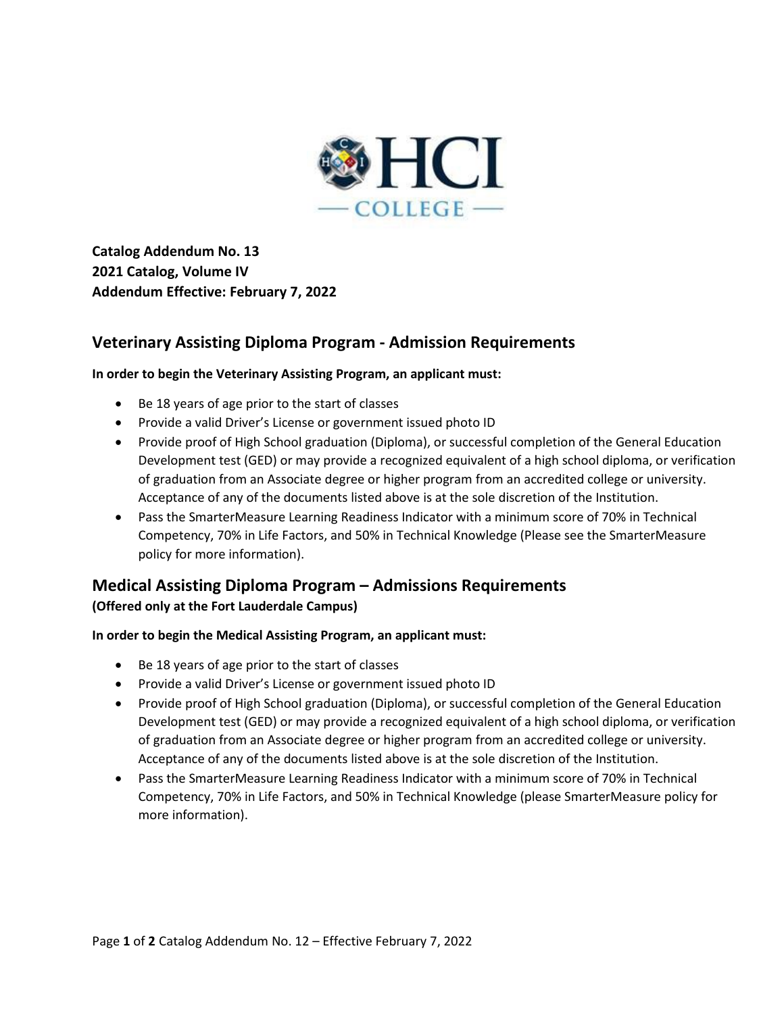

**Catalog Addendum No. 13 2021 Catalog, Volume IV Addendum Effective: February 7, 2022**

# **Veterinary Assisting Diploma Program - Admission Requirements**

### **In order to begin the Veterinary Assisting Program, an applicant must:**

- Be 18 years of age prior to the start of classes
- Provide a valid Driver's License or government issued photo ID
- Provide proof of High School graduation (Diploma), or successful completion of the General Education Development test (GED) or may provide a recognized equivalent of a high school diploma, or verification of graduation from an Associate degree or higher program from an accredited college or university. Acceptance of any of the documents listed above is at the sole discretion of the Institution.
- Pass the SmarterMeasure Learning Readiness Indicator with a minimum score of 70% in Technical Competency, 70% in Life Factors, and 50% in Technical Knowledge (Please see the SmarterMeasure policy for more information).

## **Medical Assisting Diploma Program – Admissions Requirements**

**(Offered only at the Fort Lauderdale Campus)**

#### **In order to begin the Medical Assisting Program, an applicant must:**

- Be 18 years of age prior to the start of classes
- Provide a valid Driver's License or government issued photo ID
- Provide proof of High School graduation (Diploma), or successful completion of the General Education Development test (GED) or may provide a recognized equivalent of a high school diploma, or verification of graduation from an Associate degree or higher program from an accredited college or university. Acceptance of any of the documents listed above is at the sole discretion of the Institution.
- Pass the SmarterMeasure Learning Readiness Indicator with a minimum score of 70% in Technical Competency, 70% in Life Factors, and 50% in Technical Knowledge (please SmarterMeasure policy for more information).